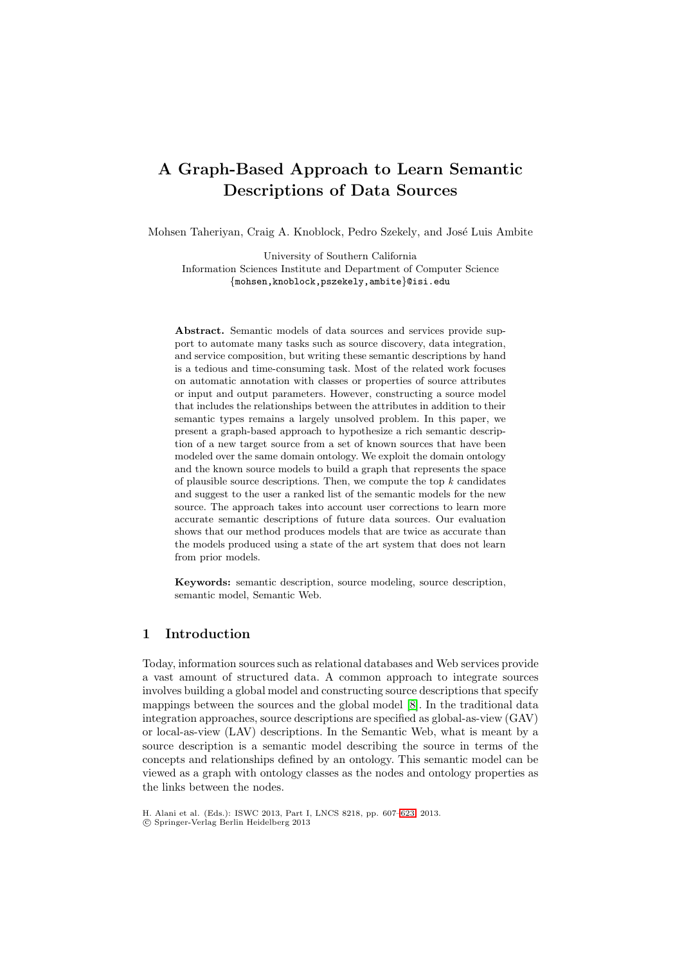# **A Graph-Based Approach to Learn Semantic Descriptions of Data Sources**

Mohsen Taheriyan, Craig A. Knoblock, Pedro Szekely, and José Luis Ambite

University of Southern California Information Sciences Institute and Department of Computer Science *{*mohsen,knoblock,pszekely,ambite*}*@isi.edu

**Abstract.** Semantic models of data sources and services provide support to automate many tasks such as source discovery, data integration, and service composition, but writing these semantic descriptions by hand is a tedious and time-consuming task. Most of the related work focuses on automatic annotation with classes or properties of source attributes or input and output parameters. However, constructing a source model that includes the relationships between the attributes in addition to their semantic types remains a largely unsolved problem. In this paper, we present a graph-based approach to hypothesize a rich semantic description of a new target source from a set of known sources that have been modeled over the same domain ontology. We exploit the domain ontology and the known source models to build a graph that represents the space of plausible source descriptions. Then, we compute the top *k* candidates and suggest to the user a ranked list of the semantic models for the new source. The approach takes into account user corrections to learn more accurate semantic descriptions of future data sources. Our evaluation shows that our method produces models that are twice as accurate than the models produced using a state of the art system that does not learn from prior models.

**Keywords:** semantic description, source modeling, source description, semantic model, Semantic Web.

# **1 Introduction**

Today, information sources such as relational databases and Web services provide a vast amount of structured data. A common approach to integrate sources involves building a global model and constructing source descriptions that specify mappings between the sources and the global model [\[8\]](#page-15-0). In the traditional data integration approaches, source descriptions are specified as global-as-view (GAV) or local-as-view (LAV) descriptions. In the Semantic Web, what is meant by a source description is a semantic model describing the source in terms of the concepts and relationships defined by an ontology. This semantic model can be viewed as a graph with ontology classes as the nodes and ontology properties as the links between the nodes.

H. Alani et al. (Eds.): ISWC 2013, Part I, LNCS 8218, pp. 607[–623,](#page-15-1) 2013.

<sup>-</sup>c Springer-Verlag Berlin Heidelberg 2013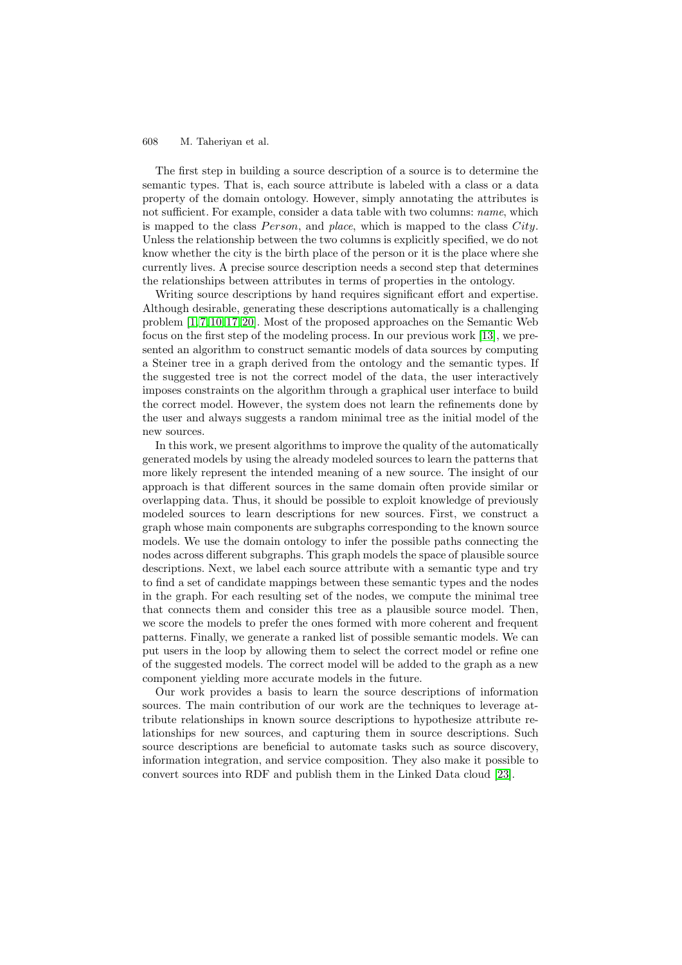The first step in building a source description of a source is to determine the semantic types. That is, each source attribute is labeled with a class or a data property of the domain ontology. However, simply annotating the attributes is not sufficient. For example, consider a data table with two columns: *name*, which is mapped to the class Person, and place, which is mapped to the class City. Unless the relationship between the two columns is explicitly specified, we do not know whether the city is the birth place of the person or it is the place where she currently lives. A precise source description needs a second step that determines the relationships between attributes in terms of properties in the ontology.

Writing source descriptions by hand requires significant effort and expertise. Although desirable, generating these descriptions automatically is a challenging problem [\[1,](#page-15-2) [7,](#page-15-3) [10,](#page-15-4) [17,](#page-16-0) [20\]](#page-16-1). Most of the proposed approaches on the Semantic Web focus on the first step of the modeling process. In our previous work [\[13\]](#page-15-5), we presented an algorithm to construct semantic models of data sources by computing a Steiner tree in a graph derived from the ontology and the semantic types. If the suggested tree is not the correct model of the data, the user interactively imposes constraints on the algorithm through a graphical user interface to build the correct model. However, the system does not learn the refinements done by the user and always suggests a random minimal tree as the initial model of the new sources.

In this work, we present algorithms to improve the quality of the automatically generated models by using the already modeled sources to learn the patterns that more likely represent the intended meaning of a new source. The insight of our approach is that different sources in the same domain often provide similar or overlapping data. Thus, it should be possible to exploit knowledge of previously modeled sources to learn descriptions for new sources. First, we construct a graph whose main components are subgraphs corresponding to the known source models. We use the domain ontology to infer the possible paths connecting the nodes across different subgraphs. This graph models the space of plausible source descriptions. Next, we label each source attribute with a semantic type and try to find a set of candidate mappings between these semantic types and the nodes in the graph. For each resulting set of the nodes, we compute the minimal tree that connects them and consider this tree as a plausible source model. Then, we score the models to prefer the ones formed with more coherent and frequent patterns. Finally, we generate a ranked list of possible semantic models. We can put users in the loop by allowing them to select the correct model or refine one of the suggested models. The correct model will be added to the graph as a new component yielding more accurate models in the future.

Our work provides a basis to learn the source descriptions of information sources. The main contribution of our work are the techniques to leverage attribute relationships in known source descriptions to hypothesize attribute relationships for new sources, and capturing them in source descriptions. Such source descriptions are beneficial to automate tasks such as source discovery, information integration, and service composition. They also make it possible to convert sources into RDF and publish them in the Linked Data cloud [\[23\]](#page-16-2).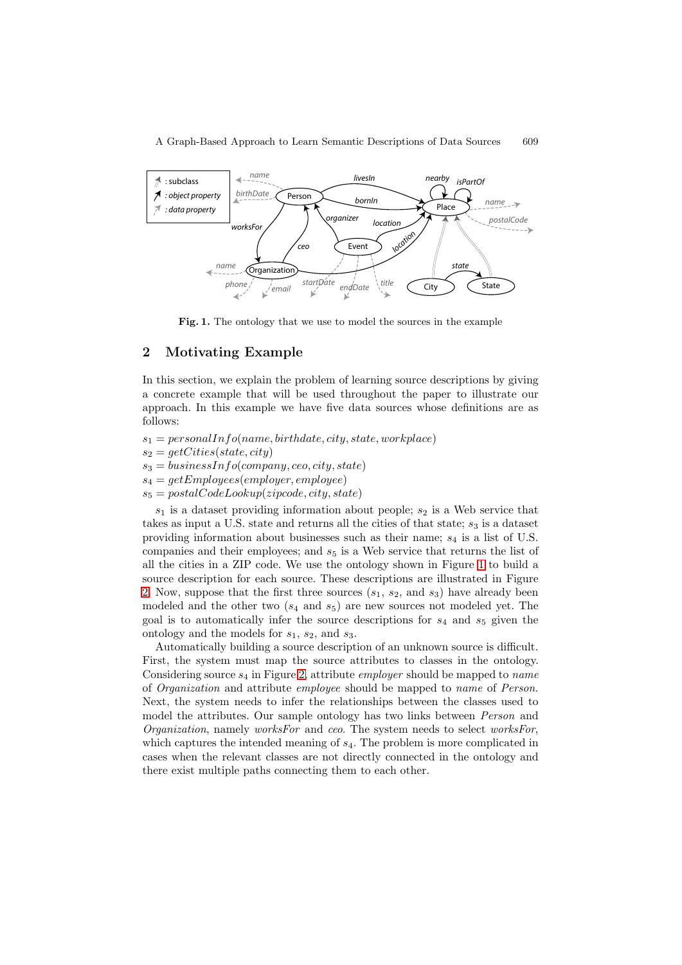#### A Graph-Based Approach to Learn Semantic Descriptions of Data Sources 609



<span id="page-2-0"></span>**Fig. 1.** The ontology that we use to model the sources in the example

# **2 Motivating Example**

In this section, we explain the problem of learning source descriptions by giving a concrete example that will be used throughout the paper to illustrate our approach. In this example we have five data sources whose definitions are as follows:

 $s_1 = personalInfo(name, birthdate, city, state, workplace)$ 

- $s_2 = getCities(state,city)$
- $s_3 = businessInfo(company,ceo, city, state)$
- $s_4 = getEmployee$ s(employer, employee)
- $s_5 = postalCodeLookup(zipcode, city, state)$

 $s_1$  is a dataset providing information about people;  $s_2$  is a Web service that takes as input a U.S. state and returns all the cities of that state;  $s<sub>3</sub>$  is a dataset providing information about businesses such as their name;  $s_4$  is a list of U.S. companies and their employees; and  $s<sub>5</sub>$  is a Web service that returns the list of all the cities in a ZIP code. We use the ontology shown in Figure [1](#page-2-0) to build a source description for each source. These descriptions are illustrated in Figure [2.](#page-3-0) Now, suppose that the first three sources  $(s_1, s_2, \text{ and } s_3)$  have already been modeled and the other two  $(s_4 \text{ and } s_5)$  are new sources not modeled yet. The goal is to automatically infer the source descriptions for  $s_4$  and  $s_5$  given the ontology and the models for  $s_1$ ,  $s_2$ , and  $s_3$ .

Automatically building a source description of an unknown source is difficult. First, the system must map the source attributes to classes in the ontology. Considering source s<sup>4</sup> in Figure [2,](#page-3-0) attribute *employer* should be mapped to *name* of *Organization* and attribute *employee* should be mapped to *name* of *Person*. Next, the system needs to infer the relationships between the classes used to model the attributes. Our sample ontology has two links between *Person* and *Organization*, namely *worksFor* and *ceo*. The system needs to select *worksFor*, which captures the intended meaning of  $s<sub>4</sub>$ . The problem is more complicated in cases when the relevant classes are not directly connected in the ontology and there exist multiple paths connecting them to each other.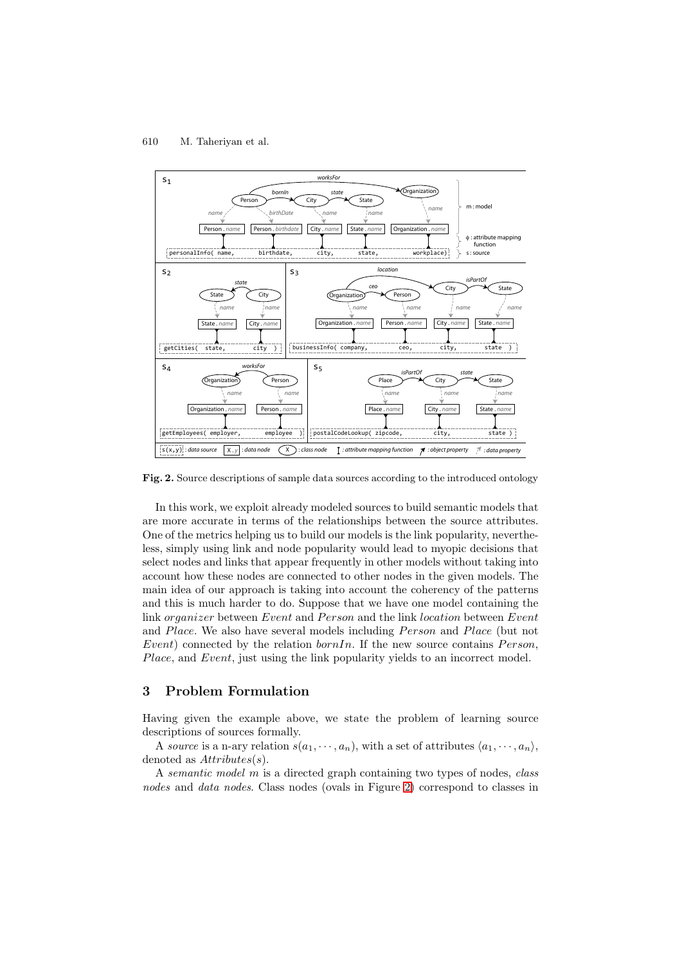

<span id="page-3-0"></span>**Fig. 2.** Source descriptions of sample data sources according to the introduced ontology

In this work, we exploit already modeled sources to build semantic models that are more accurate in terms of the relationships between the source attributes. One of the metrics helping us to build our models is the link popularity, nevertheless, simply using link and node popularity would lead to myopic decisions that select nodes and links that appear frequently in other models without taking into account how these nodes are connected to other nodes in the given models. The main idea of our approach is taking into account the coherency of the patterns and this is much harder to do. Suppose that we have one model containing the link organizer between Event and Person and the link location between Event and Place. We also have several models including Person and Place (but not Event) connected by the relation  $bornIn.$  If the new source contains  $Person,$ Place, and Event, just using the link popularity yields to an incorrect model.

## **3 Problem Formulation**

Having given the example above, we state the problem of learning source descriptions of sources formally.

A *source* is a n-ary relation  $s(a_1, \dots, a_n)$ , with a set of attributes  $\langle a_1, \dots, a_n \rangle$ , denoted as  $Attributes(s)$ .

A *semantic model* m is a directed graph containing two types of nodes, *class nodes* and *data nodes*. Class nodes (ovals in Figure [2\)](#page-3-0) correspond to classes in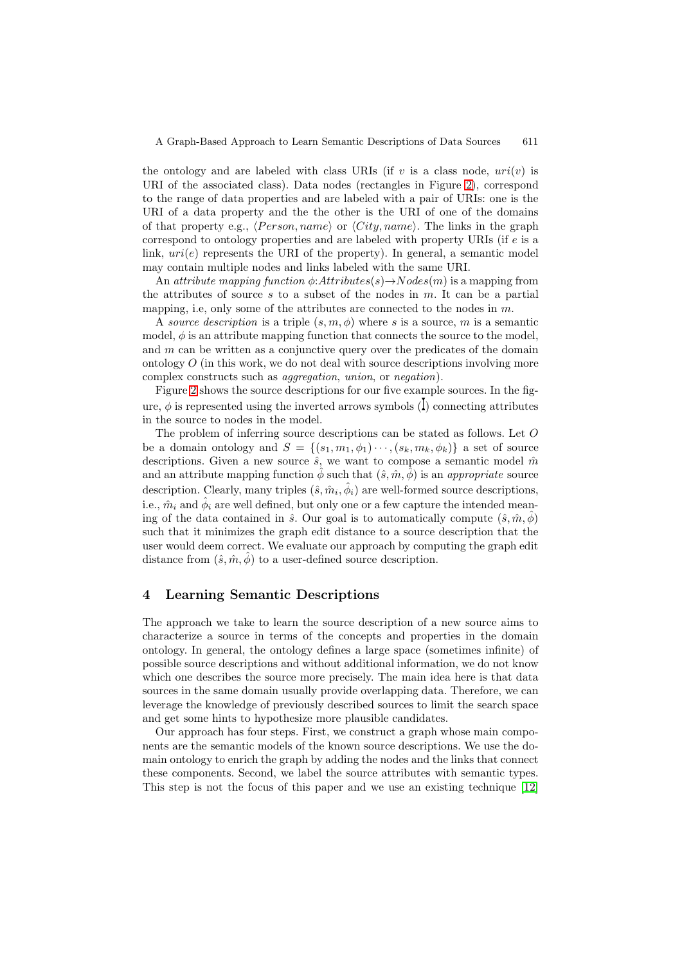the ontology and are labeled with class URIs (if v is a class node,  $uri(v)$  is URI of the associated class). Data nodes (rectangles in Figure [2\)](#page-3-0), correspond to the range of data properties and are labeled with a pair of URIs: one is the URI of a data property and the the other is the URI of one of the domains of that property e.g.,  $\langle Person, name \rangle$  or  $\langle City, name \rangle$ . The links in the graph correspond to ontology properties and are labeled with property URIs (if e is a link,  $uri(e)$  represents the URI of the property). In general, a semantic model may contain multiple nodes and links labeled with the same URI.

An *attribute mapping function*  $\phi$ :  $Attributes(s) \rightarrow Nodes(m)$  is a mapping from the attributes of source s to a subset of the nodes in  $m$ . It can be a partial mapping, i.e. only some of the attributes are connected to the nodes in  $m$ .

A *source description* is a triple  $(s, m, \phi)$  where s is a source, m is a semantic model,  $\phi$  is an attribute mapping function that connects the source to the model, and m can be written as a conjunctive query over the predicates of the domain ontology  $O$  (in this work, we do not deal with source descriptions involving more complex constructs such as *aggregation*, *union*, or *negation*).

Figure [2](#page-3-0) shows the source descriptions for our five example sources. In the figure,  $\phi$  is represented using the inverted arrows symbols ( $\Lambda$ ) connecting attributes in the source to nodes in the model.

The problem of inferring source descriptions can be stated as follows. Let O be a domain ontology and  $S = \{(s_1, m_1, \phi_1) \cdots, (s_k, m_k, \phi_k)\}\)$  a set of source descriptions. Given a new source  $\hat{s}$ , we want to compose a semantic model  $\hat{m}$ and an attribute mapping function  $\hat{\phi}$  such that  $(\hat{s}, \hat{m}, \hat{\phi})$  is an *appropriate* source description. Clearly, many triples  $(\hat{s}, \hat{m}_i, \hat{\phi}_i)$  are well-formed source descriptions, i.e.,  $\hat{m}_i$  and  $\hat{\phi}_i$  are well defined, but only one or a few capture the intended meaning of the data contained in  $\hat{s}$ . Our goal is to automatically compute  $(\hat{s}, \hat{m}, \hat{\phi})$ such that it minimizes the graph edit distance to a source description that the user would deem correct. We evaluate our approach by computing the graph edit distance from  $(\hat{s}, \hat{m}, \hat{\phi})$  to a user-defined source description.

# **4 Learning Semantic Descriptions**

The approach we take to learn the source description of a new source aims to characterize a source in terms of the concepts and properties in the domain ontology. In general, the ontology defines a large space (sometimes infinite) of possible source descriptions and without additional information, we do not know which one describes the source more precisely. The main idea here is that data sources in the same domain usually provide overlapping data. Therefore, we can leverage the knowledge of previously described sources to limit the search space and get some hints to hypothesize more plausible candidates.

Our approach has four steps. First, we construct a graph whose main components are the semantic models of the known source descriptions. We use the domain ontology to enrich the graph by adding the nodes and the links that connect these components. Second, we label the source attributes with semantic types. This step is not the focus of this paper and we use an existing technique [\[12\]](#page-15-6)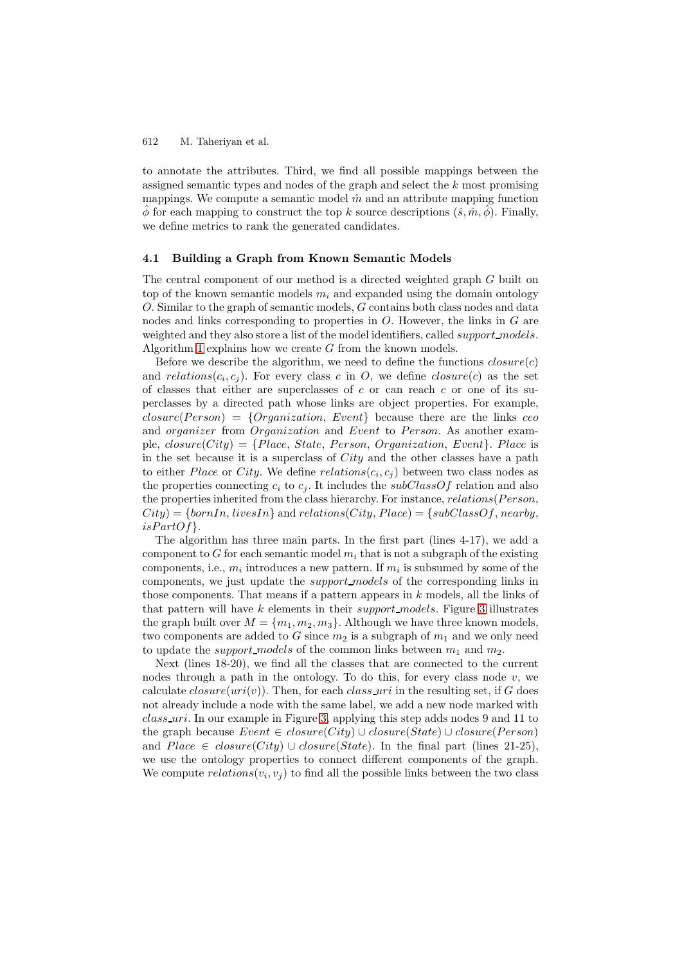to annotate the attributes. Third, we find all possible mappings between the assigned semantic types and nodes of the graph and select the k most promising mappings. We compute a semantic model  $\hat{m}$  and an attribute mapping function  $\hat{\phi}$  for each mapping to construct the top k source descriptions  $(\hat{s}, \hat{m}, \hat{\phi})$ . Finally, we define metrics to rank the generated candidates.

#### **4.1 Building a Graph from Known Semantic Models**

The central component of our method is a directed weighted graph G built on top of the known semantic models  $m_i$  and expanded using the domain ontology O. Similar to the graph of semantic models, G contains both class nodes and data nodes and links corresponding to properties in O. However, the links in G are weighted and they also store a list of the model identifiers, called *support\_models*. Algorithm [1](#page-7-0) explains how we create  $G$  from the known models.

Before we describe the algorithm, we need to define the functions  $closure(c)$ and *relations* $(c_i, c_j)$ . For every class c in O, we define closure(c) as the set of classes that either are superclasses of  $c$  or can reach  $c$  or one of its superclasses by a directed path whose links are object properties. For example,  $closure(Person) = \{Organization, Event\}$  because there are the links ceo and *organizer* from *Organization* and *Event* to *Person*. As another example,  $closure(City) = {Place, State, Person, Organization, Event}.$  Place is in the set because it is a superclass of  $City$  and the other classes have a path to either Place or City. We define relations $(c_i, c_j)$  between two class nodes as the properties connecting  $c_i$  to  $c_j$ . It includes the subClassOf relation and also the properties inherited from the class hierarchy. For instance, relations ( $Person$ ,  $City) = {bornIn, livesIn}$  and relations(City, Place) = {subClassOf, nearby,  $isPartOf$ .

The algorithm has three main parts. In the first part (lines 4-17), we add a component to G for each semantic model m*<sup>i</sup>* that is not a subgraph of the existing components, i.e.,  $m_i$  introduces a new pattern. If  $m_i$  is subsumed by some of the components, we just update the support models of the corresponding links in those components. That means if a pattern appears in  $k$  models, all the links of that pattern will have  $k$  elements in their *support\_models*. Figure [3](#page-6-0) illustrates the graph built over  $M = \{m_1, m_2, m_3\}$ . Although we have three known models, two components are added to G since  $m_2$  is a subgraph of  $m_1$  and we only need to update the *support models* of the common links between  $m_1$  and  $m_2$ .

Next (lines 18-20), we find all the classes that are connected to the current nodes through a path in the ontology. To do this, for every class node  $v$ , we calculate  $closure(wri(v))$ . Then, for each class uri in the resulting set, if G does not already include a node with the same label, we add a new node marked with class uri. In our example in Figure [3,](#page-6-0) applying this step adds nodes 9 and 11 to the graph because  $Event \in closure(City) \cup closure(State) \cup closure(Person)$ and  $Place \in closure(City) \cup closure(State)$ . In the final part (lines 21-25), we use the ontology properties to connect different components of the graph. We compute  $relations(v_i, v_j)$  to find all the possible links between the two class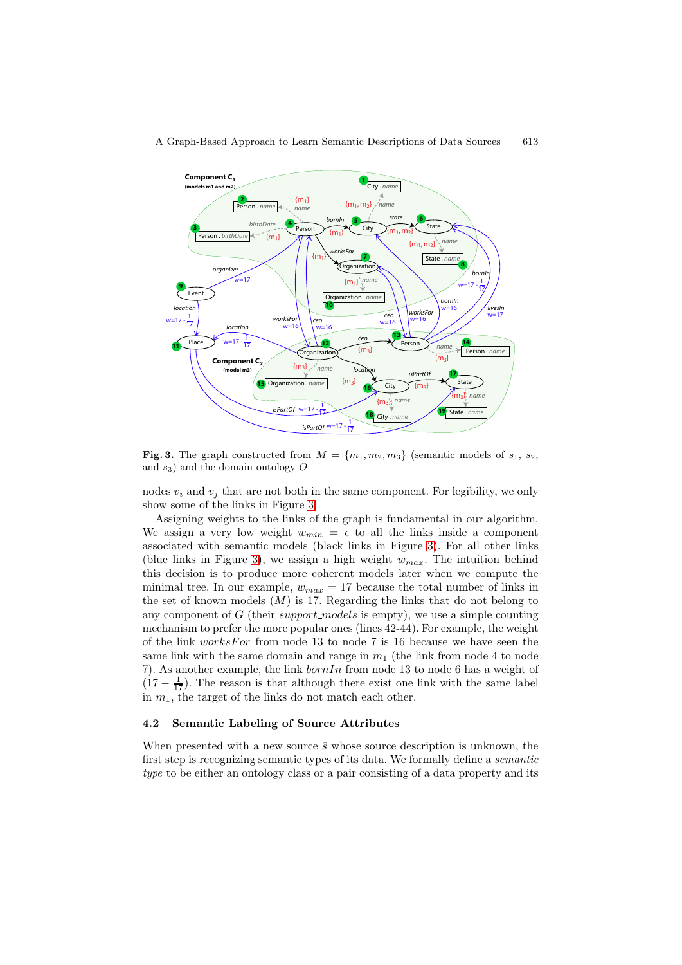

#### A Graph-Based Approach to Learn Semantic Descriptions of Data Sources 613

<span id="page-6-0"></span>**Fig. 3.** The graph constructed from  $M = \{m_1, m_2, m_3\}$  (semantic models of  $s_1$ ,  $s_2$ , and *s*3) and the domain ontology *O*

nodes  $v_i$  and  $v_j$  that are not both in the same component. For legibility, we only show some of the links in Figure [3.](#page-6-0)

Assigning weights to the links of the graph is fundamental in our algorithm. We assign a very low weight  $w_{min} = \epsilon$  to all the links inside a component associated with semantic models (black links in Figure [3\)](#page-6-0). For all other links (blue links in Figure [3\)](#page-6-0), we assign a high weight w*max*. The intuition behind this decision is to produce more coherent models later when we compute the minimal tree. In our example,  $w_{max} = 17$  because the total number of links in the set of known models  $(M)$  is 17. Regarding the links that do not belong to any component of G (their *support\_models* is empty), we use a simple counting mechanism to prefer the more popular ones (lines 42-44). For example, the weight of the link *worksFor* from node 13 to node 7 is 16 because we have seen the same link with the same domain and range in  $m_1$  (the link from node 4 to node 7). As another example, the link  $bornIn$  from node 13 to node 6 has a weight of  $(17 - \frac{1}{17})$ . The reason is that although there exist one link with the same label in  $m_1$ , the target of the links do not match each other.

## **4.2 Semantic Labeling of Source Attributes**

When presented with a new source  $\hat{s}$  whose source description is unknown, the first step is recognizing semantic types of its data. We formally define a *semantic type* to be either an ontology class or a pair consisting of a data property and its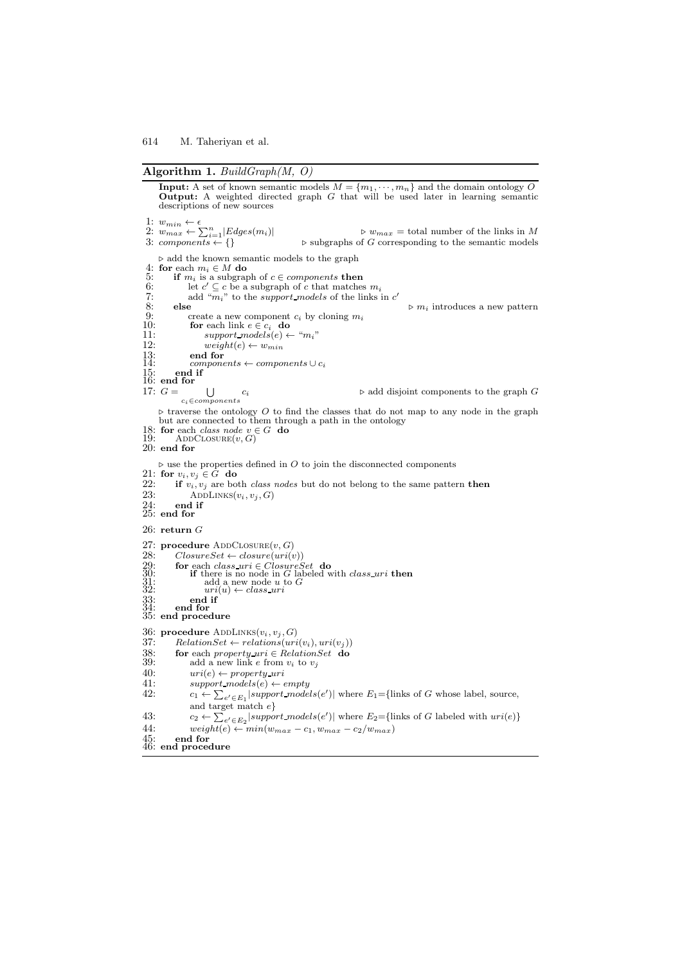#### **Algorithm 1.** *BuildGraph(M, O)*

<span id="page-7-0"></span>**Input:** A set of known semantic models  $M = \{m_1, \dots, m_n\}$  and the domain ontology O **Output:** A weighted directed graph G that will be used later in learning semantic descriptions of new sources 1:  $w_{min} \leftarrow$ 2:  $w_{max} \leftarrow \sum_{i=1}^{n}$ 2:  $w_{max} \leftarrow \sum_{i=1}^{n} |Edges(m_i)|$   $\triangleright w_{max} = total$  number of the links in *M*<br>3: *components*  $\leftarrow \{\}$   $\triangleright$  subgraphs of *G* corresponding to the semantic models  $\triangleright$  subgraphs of  $G$  corresponding to the semantic models  $\triangleright$  add the known semantic models to the graph 4: **for** each  $m_i \in M$  **do**<br>5: **if**  $m_i$  is a subgrap 5: **if**  $m_i$  is a subgraph of  $c \in components$  **then**<br>6: let  $c' \subseteq c$  be a subgraph of c that matches<br>7: add " $m_i$ " to the *support\_models* of the li 6: let  $c' \subseteq c$  be a subgraph of c that matches  $m_i$ 7: add " $m_i$ " to the *support\_models* of the links in  $c'$ 8: **else**  $m_i$  is the support-moduce of the mind in  $\infty$   $m_i$  introduces a new pattern 9: 9: create a new component  $c_i$  by cloning  $m_i$ <br>10: **for** each link  $e \in c_i$  **do** 10: **for** each link  $e \in c_i$  **do** 11:  $support\_models(e) \leftarrow "m_i"$ 12:  $weight(e) \leftarrow w_{min}$ <br>
13: **end for**<br>
14: *components*  $\leftarrow$  *compo* 13: **end for**<br>  $14$ : components ← components ∪  $c_i$ 15: **end if** 16: **end for** 17:  $G = \bigcup$ *ci*∈*components*  $c_i$   $\triangleright$  add disjoint components to the graph  $G$  $\triangleright$  traverse the ontology O to find the classes that do not map to any node in the graph but are connected to them through a path in the ontology 18: **for** each *class node*  $v \in G$  **do** 19: ADDCLOSURE $(v, G)$ 20: **end for**  $\triangleright$  use the properties defined in  $O$  to join the disconnected components 21: **for**  $v_i, v_j \in \hat{G}$  **do**<br>22: **if**  $v_i, v_j$  are bo 22: **if**  $v_i$ ,  $v_j$  are both *class nodes* but do not belong to the same pattern **then** 23: ADDLINKS $(v_i, v_j, G)$  $ADDLINKS(v_i, v_j, G)$ 24: **end if** 25: **end for** 26: **return** G 27: **procedure** ADDCLOSURE $(v, G)$ <br>28: *ClosureSet*  $\leftarrow closure(uri(v))$ 28:  $\text{ClosureSet} \leftarrow \text{closure}(uri(v))$ <br>
29: **for** each *class\_uri*  $\in \text{ClosureS}$ <br>
30: **if** there is no node in G lab 29: **for** each *class\_uri* ∈ *ClosureSet* **do**<br>
30: **if** there is no node in G labeled with *class\_uri* **then**<br>
31: add a new node *u* to G 31:  $\frac{31}{32}$ :  $\frac{1}{12}$  and a new node u 33: **end if** 34: **end for** 35: **end procedure** 36: **procedure** ADDLINKS( $v_i, v_j, G$ )<br>37: RelationSet  $\leftarrow$  relations(uri 37: RelationSet  $\leftarrow$  relations(uri(v<sub>i</sub>), uri(v<sub>j</sub>))<br>38: **for** each property\_uri  $\in$  RelationSet **do** 38: **for** each property uri ∈ RelationSet **do**<br>39: add a new link e from  $v_i$  to  $v_j$ 39: add a new link e from  $v_i$  to  $v_j$ <br>40:  $uri(e) \leftarrow$  property uri 40:  $uri(e) \leftarrow property\_uri$ <br>41:  $sumport\ models(e) \leftarrow e$ 41:  $support\_models(e) \leftarrow empty$ <br>
42:  $c_1 \leftarrow \sum_{e' \in E} \text{support\_model}$ 42:  $c_1 \leftarrow \sum_{e' \in E_1} |support\_models(e')|$  where  $E_1 = \{\text{links of } G \text{ whose label, source,}\}$ and target match  $e$ } 43:  $c_2 \leftarrow \sum_{e' \in E_2} |support\,models(e')|$  where  $E_2 = \{\text{links of } G \text{ labeled with } uri(e)\}$ 44:  $weight(e) \leftarrow min(w_{max} - c_1, w_{max} - c_2/w_{max})$ 45: **end for** 46: **end procedure**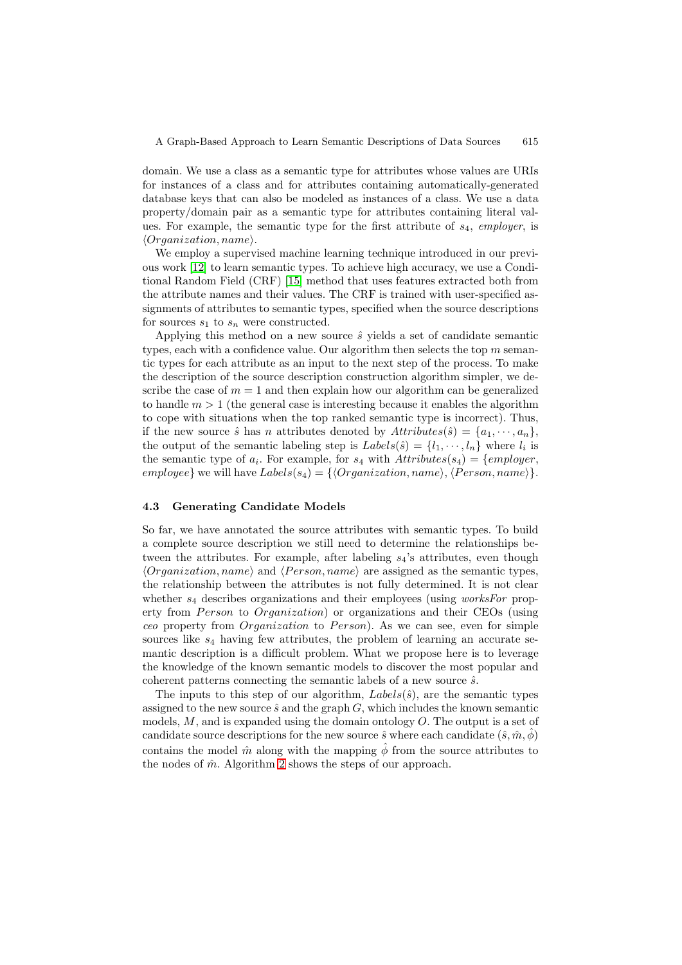domain. We use a class as a semantic type for attributes whose values are URIs for instances of a class and for attributes containing automatically-generated database keys that can also be modeled as instances of a class. We use a data property/domain pair as a semantic type for attributes containing literal values. For example, the semantic type for the first attribute of s4, *employer*, is  $\langle Organization, name \rangle$ .

We employ a supervised machine learning technique introduced in our previous work [\[12\]](#page-15-6) to learn semantic types. To achieve high accuracy, we use a Conditional Random Field (CRF) [\[15\]](#page-15-7) method that uses features extracted both from the attribute names and their values. The CRF is trained with user-specified assignments of attributes to semantic types, specified when the source descriptions for sources  $s_1$  to  $s_n$  were constructed.

Applying this method on a new source  $\hat{s}$  yields a set of candidate semantic types, each with a confidence value. Our algorithm then selects the top m semantic types for each attribute as an input to the next step of the process. To make the description of the source description construction algorithm simpler, we describe the case of  $m = 1$  and then explain how our algorithm can be generalized to handle  $m > 1$  (the general case is interesting because it enables the algorithm to cope with situations when the top ranked semantic type is incorrect). Thus, if the new source  $\hat{s}$  has n attributes denoted by  $Attributes(\hat{s}) = \{a_1, \dots, a_n\},\$ the output of the semantic labeling step is  $Labels(\hat{s}) = \{l_1, \dots, l_n\}$  where  $l_i$  is the semantic type of  $a_i$ . For example, for  $s_4$  with  $Attributes(s_4) = \{employee,$  $\{empty\}$  we will have  $\mathit{Labels}(s_4) = \{ \langle Organization, name \rangle, \langle Person, name \rangle \}.$ 

#### **4.3 Generating Candidate Models**

So far, we have annotated the source attributes with semantic types. To build a complete source description we still need to determine the relationships between the attributes. For example, after labeling  $s<sub>4</sub>$ 's attributes, even though  $\langle Organization, name \rangle$  and  $\langle Person, name \rangle$  are assigned as the semantic types, the relationship between the attributes is not fully determined. It is not clear whether  $s_4$  describes organizations and their employees (using *worksFor* property from Person to Organization) or organizations and their CEOs (using *ceo* property from *Organization* to *Person*). As we can see, even for simple sources like  $s_4$  having few attributes, the problem of learning an accurate semantic description is a difficult problem. What we propose here is to leverage the knowledge of the known semantic models to discover the most popular and coherent patterns connecting the semantic labels of a new source  $\hat{s}$ .

The inputs to this step of our algorithm,  $Labels(\hat{s})$ , are the semantic types assigned to the new source  $\hat{s}$  and the graph  $G$ , which includes the known semantic models,  $M$ , and is expanded using the domain ontology  $O$ . The output is a set of candidate source descriptions for the new source  $\hat{s}$  where each candidate  $(\hat{s}, \hat{m}, \phi)$ contains the model  $\hat{m}$  along with the mapping  $\hat{\phi}$  from the source attributes to the nodes of  $\hat{m}$ . Algorithm [2](#page-9-0) shows the steps of our approach.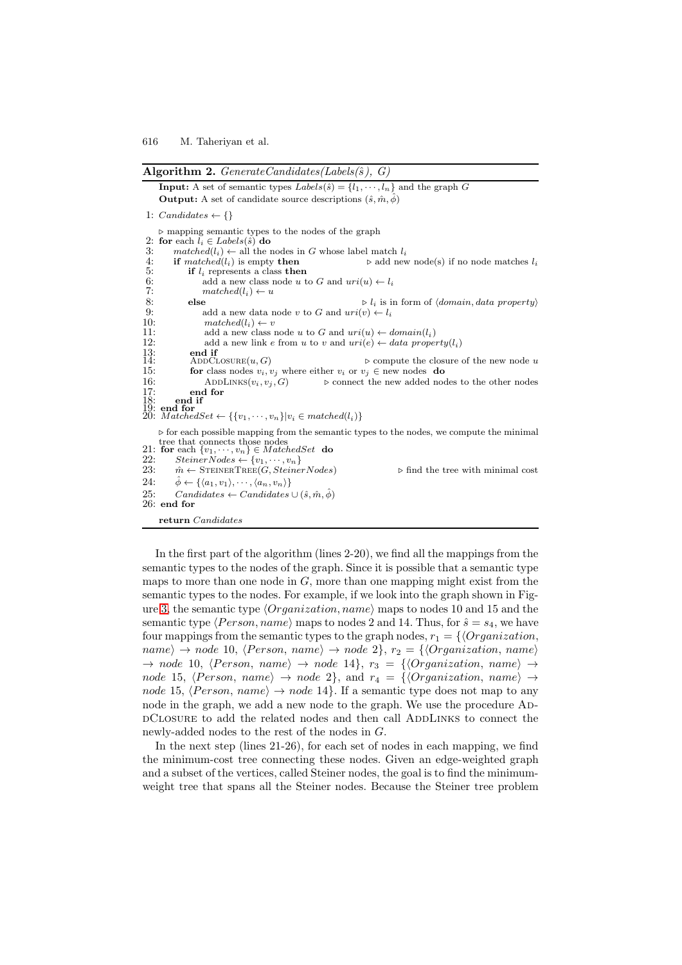```
Algorithm 2. GenerateCandidates(Labels(sˆ), G)
      Input: A set of semantic types Labels(\hat{s}) = \{l_1, \dots, l_n\} and the graph G
      Output: A set of candidate source descriptions (\hat{s}, \hat{m}, \hat{\phi})1: Candidates \leftarrow \{\} mapping semantic types to the nodes of the graph
 2: for each l_i \in \text{Labels}(\hat{s}) do<br>3: matched(l_i) \leftarrow all the i
 3: matched(l_i) \leftarrow \text{all the nodes in } G \text{ whose label match } l_i<br>4: if matched(l_i) is empty then \rightarrow add new
 4: if matched(l_i) is empty then \triangleright add new node(s) if no node matches l_i<br>5: if l_i represents a class then
 5: if l_i represents a class then<br>6: add a new class node u t
 6: add a new class node u to G and uri(u) \leftarrow l_i<br>7: matched(l_i) \leftarrow u7: \begin{array}{ll}\n7. & \text{matched}(l_i) \leftarrow u \\
8. & \text{else}\n\end{array}8: else \triangleright l_i is in form of \langle domain, data \text{ property} \rangle<br>9: add a new data node v to G and uri(v) \leftarrow l_i9: add a new data node v to G and uri(v) \leftarrow l_i<br>10: matched(l_i) \leftarrow v10: matched(l_i) \leftarrow v<br>11: add a new class i
11: add a new class node u to G and uri(u) \leftarrow domain(l_i)<br>12: add a new link e from u to v and uri(e) \leftarrow data \space proper12: add a new link e from u to v and uri(e) \leftarrow data \ property(l_i)<br>
13: end if<br>
14: ADDCLOSURE(u, G) > compute the closure
                 end if<br>ADDCLOSURE(u, G)14: ADDCLOSURE(u, G) b compute the closure of the new node u<br>15: for class nodes u_i, u_j where either u_j or u_j \in \text{new nodes } do
15: for class nodes v_i, v_j where either v_i or v_j \in \text{new nodes } do 16: ADDLINKS(v_i, v_j, G) > connect the new added nodes
16: ADDLINKS(v_i, v_j, G) \triangleright connect the new added nodes to the other nodes 17: end if 18: end if
           end for<br>end if
18: end if<br>
19: end for<br>
20: MatchedSet ← {\{v_1, \dots, v_n\} | v_i \in matched(l_i) \}\triangleright for each possible mapping from the semantic types to the nodes, we compute the minimal
      tree that connects those nodes
21: for each \{v_1, \dots, v_n\} \in MatchedSet do<br>22: SteinerNodes \leftarrow \{v_1, \dots, v_n\}22: SteinerNodes \leftarrow \{v_1, \dots, v_n\}<br>23: \hat{m} \leftarrow \text{STERTREE}(G, Steine)\hat{m} \leftarrow \texttt{STENERTree}(G, SteinerNodes) \qquad \qquad \triangleright \text{find the tree with minimal cost}24: \hat{\phi} \leftarrow {\{\langle a_1, v_1 \rangle, \cdots, \langle a_n, v_n \rangle\}}25: Candidates ← Candidates ∪ (\hat{s}, \hat{m}, \hat{\phi})26: end for
      return Candidates
```
In the first part of the algorithm (lines 2-20), we find all the mappings from the semantic types to the nodes of the graph. Since it is possible that a semantic type maps to more than one node in  $G$ , more than one mapping might exist from the semantic types to the nodes. For example, if we look into the graph shown in Fig-ure [3,](#page-6-0) the semantic type  $\langle Organization, name \rangle$  maps to nodes 10 and 15 and the semantic type  $\langle Person, name \rangle$  maps to nodes 2 and 14. Thus, for  $\hat{s} = s_4$ , we have four mappings from the semantic types to the graph nodes,  $r_1 = \{ \langle Organization,$  $name\rangle \rightarrow node\ 10, \langle Person, name\rangle \rightarrow node\ 2\}, r_2 = \{\langle Organization, name\rangle$  $\rightarrow$  node 10,  $\langle Person, name \rangle \rightarrow node$  14 $\}$ ,  $r_3 = \{\langle Organization, name \rangle \rightarrow$ node 15,  $\langle Person, name \rangle \rightarrow node 2$ , and  $r_4 = {\langle Organization, name \rangle \rightarrow}$ node 15,  $\langle Person, name \rangle \rightarrow node 14$ . If a semantic type does not map to any node in the graph, we add a new node to the graph. We use the procedure ApdCLOSURE to add the related nodes and then call ADDLINKS to connect the newly-added nodes to the rest of the nodes in G.

In the next step (lines 21-26), for each set of nodes in each mapping, we find the minimum-cost tree connecting these nodes. Given an edge-weighted graph and a subset of the vertices, called Steiner nodes, the goal is to find the minimumweight tree that spans all the Steiner nodes. Because the Steiner tree problem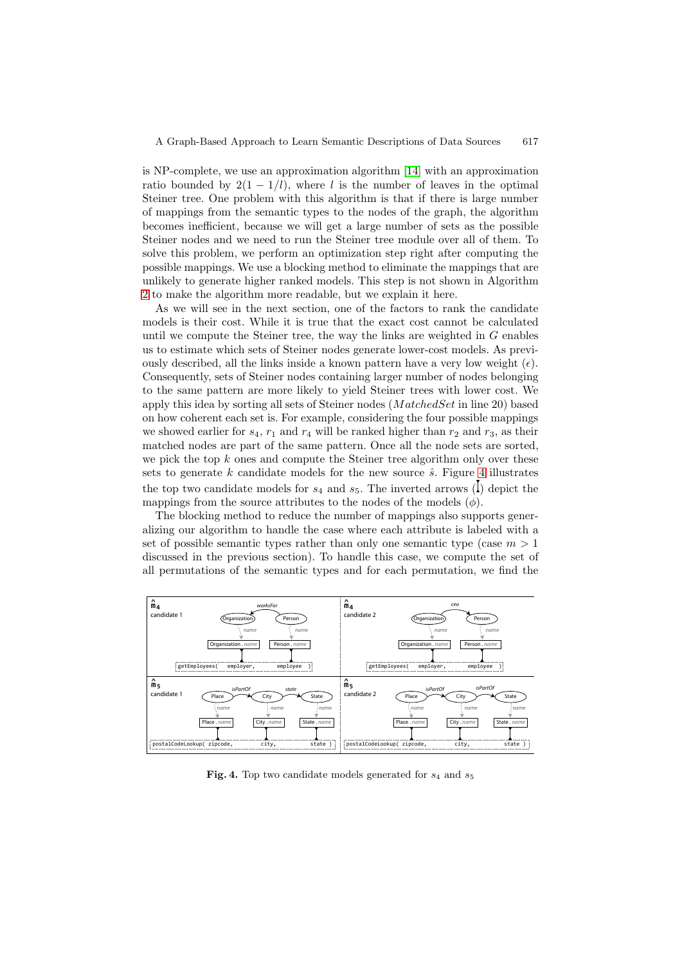is NP-complete, we use an approximation algorithm [\[14\]](#page-15-8) with an approximation ratio bounded by  $2(1 - 1/l)$ , where l is the number of leaves in the optimal Steiner tree. One problem with this algorithm is that if there is large number of mappings from the semantic types to the nodes of the graph, the algorithm becomes inefficient, because we will get a large number of sets as the possible Steiner nodes and we need to run the Steiner tree module over all of them. To solve this problem, we perform an optimization step right after computing the possible mappings. We use a blocking method to eliminate the mappings that are unlikely to generate higher ranked models. This step is not shown in Algorithm [2](#page-9-0) to make the algorithm more readable, but we explain it here.

As we will see in the next section, one of the factors to rank the candidate models is their cost. While it is true that the exact cost cannot be calculated until we compute the Steiner tree, the way the links are weighted in  $G$  enables us to estimate which sets of Steiner nodes generate lower-cost models. As previously described, all the links inside a known pattern have a very low weight  $(\epsilon)$ . Consequently, sets of Steiner nodes containing larger number of nodes belonging to the same pattern are more likely to yield Steiner trees with lower cost. We apply this idea by sorting all sets of Steiner nodes  $(MatchedSet$  in line 20) based on how coherent each set is. For example, considering the four possible mappings we showed earlier for  $s_4$ ,  $r_1$  and  $r_4$  will be ranked higher than  $r_2$  and  $r_3$ , as their matched nodes are part of the same pattern. Once all the node sets are sorted, we pick the top  $k$  ones and compute the Steiner tree algorithm only over these sets to generate k candidate models for the new source  $\hat{s}$ . Figure [4](#page-10-0) illustrates the top two candidate models for  $s_4$  and  $s_5$ . The inverted arrows (1) depict the mappings from the source attributes to the nodes of the models  $(\phi)$ .

The blocking method to reduce the number of mappings also supports generalizing our algorithm to handle the case where each attribute is labeled with a set of possible semantic types rather than only one semantic type (case  $m > 1$ ) discussed in the previous section). To handle this case, we compute the set of all permutations of the semantic types and for each permutation, we find the



<span id="page-10-0"></span>**Fig. 4.** Top two candidate models generated for *s*<sup>4</sup> and *s*<sup>5</sup>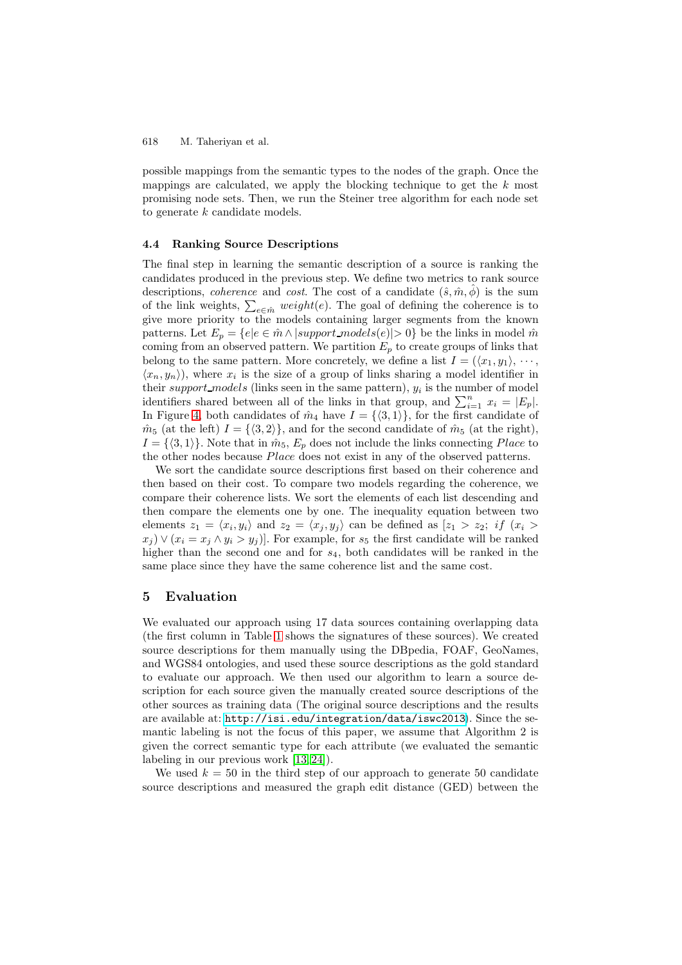possible mappings from the semantic types to the nodes of the graph. Once the mappings are calculated, we apply the blocking technique to get the  $k$  most promising node sets. Then, we run the Steiner tree algorithm for each node set to generate k candidate models.

## **4.4 Ranking Source Descriptions**

The final step in learning the semantic description of a source is ranking the candidates produced in the previous step. We define two metrics to rank source descriptions, *coherence* and *cost*. The cost of a candidate  $(\hat{s}, \hat{m}, \phi)$  is the sum of the link weights,  $\sum_{e \in \hat{m}} weight(e)$ . The goal of defining the coherence is to give more priority to the models containing larger segments from the known patterns. Let  $E_p = \{e | e \in \hat{m} \land | support\_models(e)| > 0\}$  be the links in model  $\hat{m}$ coming from an observed pattern. We partition  $E_p$  to create groups of links that belong to the same pattern. More concretely, we define a list  $I = (\langle x_1, y_1 \rangle, \dots,$  $\langle x_n, y_n \rangle$ , where  $x_i$  is the size of a group of links sharing a model identifier in their support models (links seen in the same pattern),  $y_i$  is the number of model identifiers shared between all of the links in that group, and  $\sum_{i=1}^{n} x_i = |E_p|$ . In Figure [4,](#page-10-0) both candidates of  $\hat{m}_4$  have  $I = \{ \langle 3, 1 \rangle \}$ , for the first candidate of  $\hat{m}_5$  (at the left)  $I = \{ \langle 3, 2 \rangle \}$ , and for the second candidate of  $\hat{m}_5$  (at the right),  $I = \{ \langle 3, 1 \rangle \}.$  Note that in  $\hat{m}_5$ ,  $E_p$  does not include the links connecting *Place* to the other nodes because Place does not exist in any of the observed patterns.

We sort the candidate source descriptions first based on their coherence and then based on their cost. To compare two models regarding the coherence, we compare their coherence lists. We sort the elements of each list descending and then compare the elements one by one. The inequality equation between two elements  $z_1 = \langle x_i, y_i \rangle$  and  $z_2 = \langle x_j, y_j \rangle$  can be defined as  $[z_1 > z_2; if (x_i >$  $x_j$ )  $\vee$   $(x_i = x_j \wedge y_i > y_j)$ . For example, for  $s_5$  the first candidate will be ranked higher than the second one and for  $s_4$ , both candidates will be ranked in the same place since they have the same coherence list and the same cost.

# **5 Evaluation**

We evaluated our approach using 17 data sources containing overlapping data (the first column in Table [1](#page-12-0) shows the signatures of these sources). We created source descriptions for them manually using the DB pedia, FOAF, GeoNames, and WGS84 ontologies, and used these source descriptions as the gold standard to evaluate our approach. We then used our algorithm to learn a source description for each source given the manually created source descriptions of the other sources as training data (The original source descriptions and the results are available at: <http://isi.edu/integration/data/iswc2013>). Since the semantic labeling is not the focus of this paper, we assume that Algorithm 2 is given the correct semantic type for each attribute (we evaluated the semantic labeling in our previous work [\[13,](#page-15-5) [24\]](#page-16-3)).

We used  $k = 50$  in the third step of our approach to generate 50 candidate source descriptions and measured the graph edit distance (GED) between the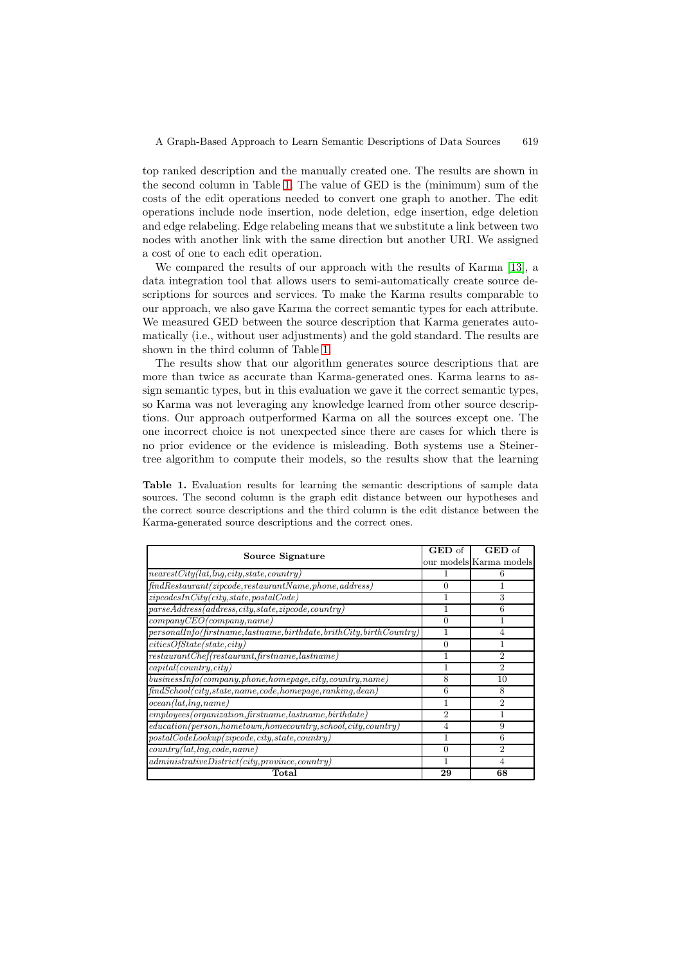top ranked description and the manually created one. The results are shown in the second column in Table [1.](#page-12-0) The value of GED is the (minimum) sum of the costs of the edit operations needed to convert one graph to another. The edit operations include node insertion, node deletion, edge insertion, edge deletion and edge relabeling. Edge relabeling means that we substitute a link between two nodes with another link with the same direction but another URI. We assigned a cost of one to each edit operation.

We compared the results of our approach with the results of Karma [\[13\]](#page-15-5), a data integration tool that allows users to semi-automatically create source descriptions for sources and services. To make the Karma results comparable to our approach, we also gave Karma the correct semantic types for each attribute. We measured GED between the source description that Karma generates automatically (i.e., without user adjustments) and the gold standard. The results are shown in the third column of Table [1.](#page-12-0)

The results show that our algorithm generates source descriptions that are more than twice as accurate than Karma-generated ones. Karma learns to assign semantic types, but in this evaluation we gave it the correct semantic types, so Karma was not leveraging any knowledge learned from other source descriptions. Our approach outperformed Karma on all the sources except one. The one incorrect choice is not unexpected since there are cases for which there is no prior evidence or the evidence is misleading. Both systems use a Steinertree algorithm to compute their models, so the results show that the learning

<span id="page-12-0"></span>**Table 1.** Evaluation results for learning the semantic descriptions of sample data sources. The second column is the graph edit distance between our hypotheses and the correct source descriptions and the third column is the edit distance between the Karma-generated source descriptions and the correct ones.

| Source Signature                                                                | <b>GED</b> of | GED of                  |
|---------------------------------------------------------------------------------|---------------|-------------------------|
|                                                                                 |               | our models Karma models |
| $nearestCity(lat, lnq, city, state, country)$                                   |               | 6                       |
| $findRestaurant(zipcode, restaurantName, phone, address)$                       |               |                         |
| $zip codesInCity(city, state, postalCode)$                                      |               | 3                       |
| $parseAddress(address, city, state, zipcode, country)$                          |               | 6                       |
| company CEO (company, name)                                                     | $\Omega$      | 1                       |
| $personalInfo(firstname, lastname, birthdate, birthCity, birthCountry)$         |               | 4                       |
| citiesOfState(state,city)                                                       |               |                         |
| $\it restaurantChef(restaurant, first name, last name)$                         |               | $\mathcal{D}$           |
| capital( country, city)                                                         |               | $\mathfrak{D}$          |
| $businessInfo(company,phone,homepage, city, country, name)$                     | 8             | 10                      |
| $find School(city, state, name, code, homepage, ranking, dean)$                 | 6             | 8                       |
| ocean(lat, lnq, name)                                                           |               | $\mathfrak{D}$          |
| $\label{eq:employ} employees (organization, first name, last name, birth date)$ | 2             |                         |
| $eduction(person,hometown,homecountry, school, city, country)$                  |               | 9                       |
| $postalCodeLookup(zipcode,city, state, country)$                                |               | 6                       |
| country(lat, lnq, code, name)                                                   | $\Omega$      | $\mathfrak{D}$          |
| $administative District(city, province, country)$                               |               | 4                       |
| Total                                                                           | 29            | 68                      |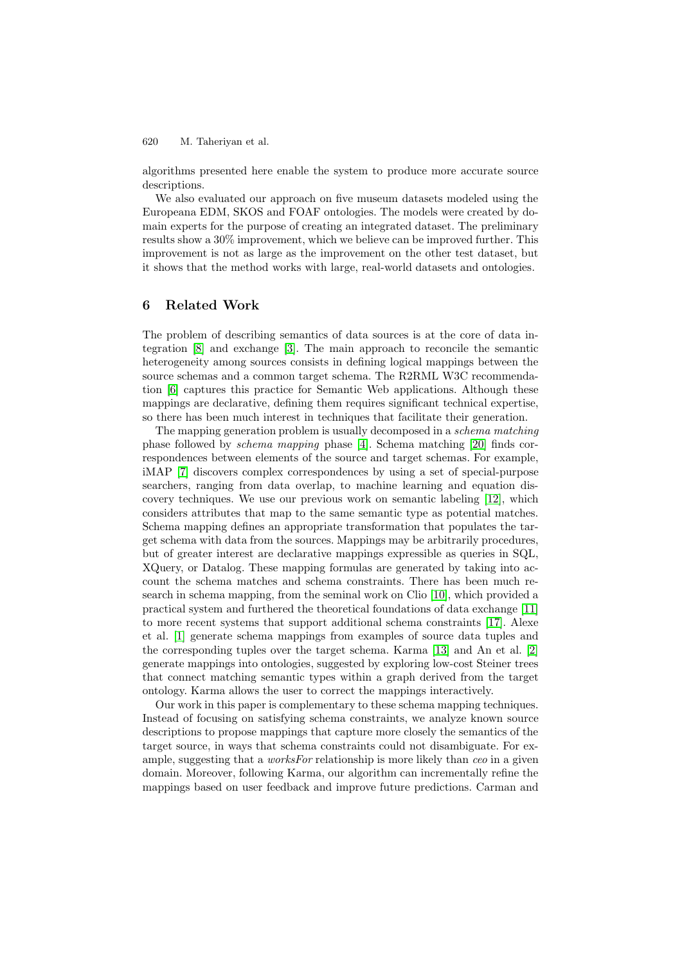algorithms presented here enable the system to produce more accurate source descriptions.

We also evaluated our approach on five museum datasets modeled using the Europeana EDM, SKOS and FOAF ontologies. The models were created by domain experts for the purpose of creating an integrated dataset. The preliminary results show a 30% improvement, which we believe can be improved further. This improvement is not as large as the improvement on the other test dataset, but it shows that the method works with large, real-world datasets and ontologies.

# **6 Related Work**

The problem of describing semantics of data sources is at the core of data integration [\[8\]](#page-15-0) and exchange [\[3\]](#page-15-9). The main approach to reconcile the semantic heterogeneity among sources consists in defining logical mappings between the source schemas and a common target schema. The R2RML W3C recommendation [\[6\]](#page-15-10) captures this practice for Semantic Web applications. Although these mappings are declarative, defining them requires significant technical expertise, so there has been much interest in techniques that facilitate their generation.

The mapping generation problem is usually decomposed in a *schema matching* phase followed by *schema mapping* phase [\[4\]](#page-15-11). Schema matching [\[20\]](#page-16-1) finds correspondences between elements of the source and target schemas. For example, iMAP [\[7\]](#page-15-3) discovers complex correspondences by using a set of special-purpose searchers, ranging from data overlap, to machine learning and equation discovery techniques. We use our previous work on semantic labeling [\[12\]](#page-15-6), which considers attributes that map to the same semantic type as potential matches. Schema mapping defines an appropriate transformation that populates the target schema with data from the sources. Mappings may be arbitrarily procedures, but of greater interest are declarative mappings expressible as queries in SQL, XQuery, or Datalog. These mapping formulas are generated by taking into account the schema matches and schema constraints. There has been much research in schema mapping, from the seminal work on Clio [\[10\]](#page-15-4), which provided a practical system and furthered the theoretical foundations of data exchange [\[11\]](#page-15-12) to more recent systems that support additional schema constraints [\[17\]](#page-16-0). Alexe et al. [\[1\]](#page-15-2) generate schema mappings from examples of source data tuples and the corresponding tuples over the target schema. Karma [\[13\]](#page-15-5) and An et al. [\[2\]](#page-15-13) generate mappings into ontologies, suggested by exploring low-cost Steiner trees that connect matching semantic types within a graph derived from the target ontology. Karma allows the user to correct the mappings interactively.

Our work in this paper is complementary to these schema mapping techniques. Instead of focusing on satisfying schema constraints, we analyze known source descriptions to propose mappings that capture more closely the semantics of the target source, in ways that schema constraints could not disambiguate. For example, suggesting that a *worksFor* relationship is more likely than *ceo* in a given domain. Moreover, following Karma, our algorithm can incrementally refine the mappings based on user feedback and improve future predictions. Carman and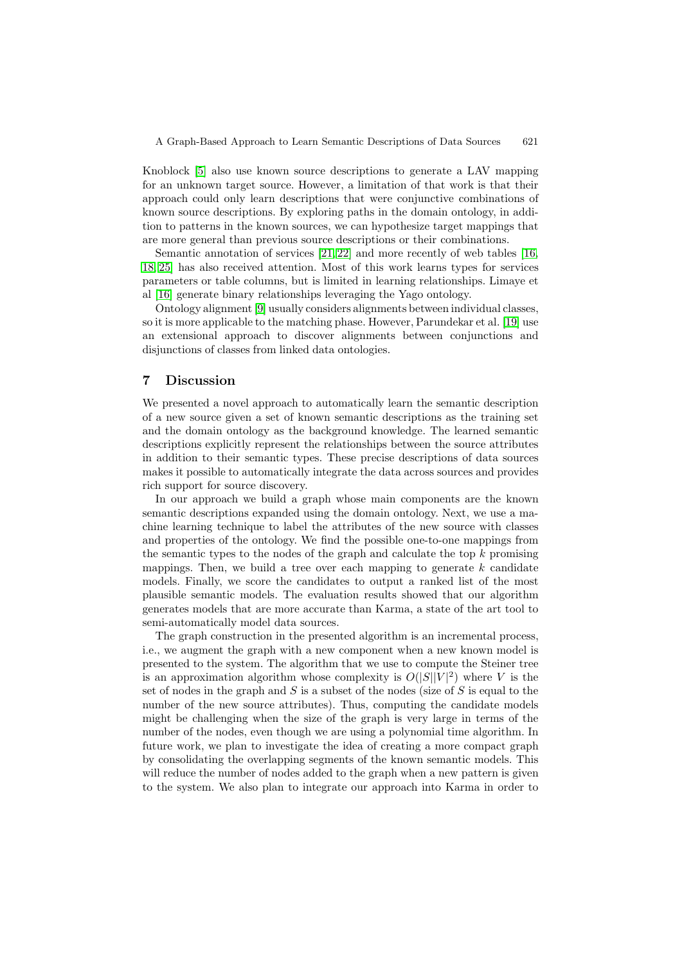Knoblock [\[5\]](#page-15-14) also use known source descriptions to generate a LAV mapping for an unknown target source. However, a limitation of that work is that their approach could only learn descriptions that were conjunctive combinations of known source descriptions. By exploring paths in the domain ontology, in addition to patterns in the known sources, we can hypothesize target mappings that are more general than previous source descriptions or their combinations.

Semantic annotation of services [\[21,](#page-16-4) [22\]](#page-16-5) and more recently of web tables [\[16,](#page-16-6) [18,](#page-16-7) [25\]](#page-16-8) has also received attention. Most of this work learns types for services parameters or table columns, but is limited in learning relationships. Limaye et al [\[16\]](#page-16-6) generate binary relationships leveraging the Yago ontology.

Ontology alignment [\[9\]](#page-15-15) usually considers alignments between individual classes, so it is more applicable to the matching phase. However, Parundekar et al. [\[19\]](#page-16-9) use an extensional approach to discover alignments between conjunctions and disjunctions of classes from linked data ontologies.

## **7 Discussion**

We presented a novel approach to automatically learn the semantic description of a new source given a set of known semantic descriptions as the training set and the domain ontology as the background knowledge. The learned semantic descriptions explicitly represent the relationships between the source attributes in addition to their semantic types. These precise descriptions of data sources makes it possible to automatically integrate the data across sources and provides rich support for source discovery.

In our approach we build a graph whose main components are the known semantic descriptions expanded using the domain ontology. Next, we use a machine learning technique to label the attributes of the new source with classes and properties of the ontology. We find the possible one-to-one mappings from the semantic types to the nodes of the graph and calculate the top  $k$  promising mappings. Then, we build a tree over each mapping to generate  $k$  candidate models. Finally, we score the candidates to output a ranked list of the most plausible semantic models. The evaluation results showed that our algorithm generates models that are more accurate than Karma, a state of the art tool to semi-automatically model data sources.

The graph construction in the presented algorithm is an incremental process, i.e., we augment the graph with a new component when a new known model is presented to the system. The algorithm that we use to compute the Steiner tree is an approximation algorithm whose complexity is  $O(|S||V|^2)$  where V is the set of nodes in the graph and  $S$  is a subset of the nodes (size of  $S$  is equal to the number of the new source attributes). Thus, computing the candidate models might be challenging when the size of the graph is very large in terms of the number of the nodes, even though we are using a polynomial time algorithm. In future work, we plan to investigate the idea of creating a more compact graph by consolidating the overlapping segments of the known semantic models. This will reduce the number of nodes added to the graph when a new pattern is given to the system. We also plan to integrate our approach into Karma in order to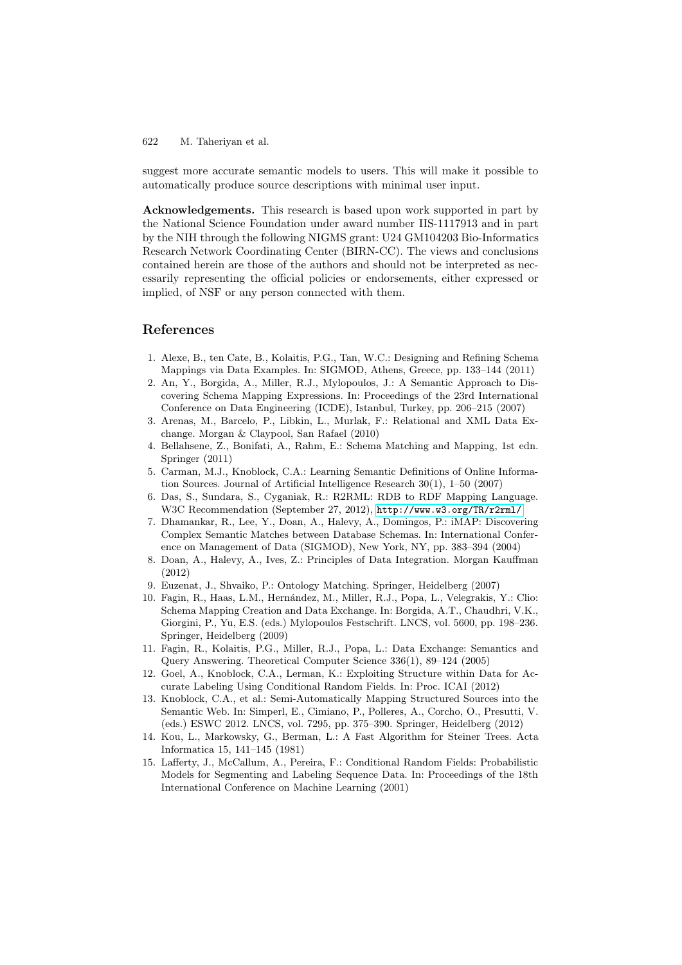suggest more accurate semantic models to users. This will make it possible to automatically produce source descriptions with minimal user input.

**Acknowledgements.** This research is based upon work supported in part by the National Science Foundation under award number IIS-1117913 and in part by the NIH through the following NIGMS grant: U24 GM104203 Bio-Informatics Research Network Coordinating Center (BIRN-CC). The views and conclusions contained herein are those of the authors and should not be interpreted as necessarily representing the official policies or endorsements, either expressed or implied, of NSF or any person connected with them.

## <span id="page-15-2"></span><span id="page-15-1"></span>**References**

- 1. Alexe, B., ten Cate, B., Kolaitis, P.G., Tan, W.C.: Designing and Refining Schema Mappings via Data Examples. In: SIGMOD, Athens, Greece, pp. 133–144 (2011)
- <span id="page-15-13"></span>2. An, Y., Borgida, A., Miller, R.J., Mylopoulos, J.: A Semantic Approach to Discovering Schema Mapping Expressions. In: Proceedings of the 23rd International Conference on Data Engineering (ICDE), Istanbul, Turkey, pp. 206–215 (2007)
- <span id="page-15-9"></span>3. Arenas, M., Barcelo, P., Libkin, L., Murlak, F.: Relational and XML Data Exchange. Morgan & Claypool, San Rafael (2010)
- <span id="page-15-11"></span>4. Bellahsene, Z., Bonifati, A., Rahm, E.: Schema Matching and Mapping, 1st edn. Springer (2011)
- <span id="page-15-14"></span>5. Carman, M.J., Knoblock, C.A.: Learning Semantic Definitions of Online Information Sources. Journal of Artificial Intelligence Research 30(1), 1–50 (2007)
- <span id="page-15-10"></span>6. Das, S., Sundara, S., Cyganiak, R.: R2RML: RDB to RDF Mapping Language. W3C Recommendation (September 27, 2012), <http://www.w3.org/TR/r2rml/>
- <span id="page-15-3"></span>7. Dhamankar, R., Lee, Y., Doan, A., Halevy, A., Domingos, P.: iMAP: Discovering Complex Semantic Matches between Database Schemas. In: International Conference on Management of Data (SIGMOD), New York, NY, pp. 383–394 (2004)
- <span id="page-15-0"></span>8. Doan, A., Halevy, A., Ives, Z.: Principles of Data Integration. Morgan Kauffman (2012)
- <span id="page-15-15"></span><span id="page-15-4"></span>9. Euzenat, J., Shvaiko, P.: Ontology Matching. Springer, Heidelberg (2007)
- 10. Fagin, R., Haas, L.M., Hernández, M., Miller, R.J., Popa, L., Velegrakis, Y.: Clio: Schema Mapping Creation and Data Exchange. In: Borgida, A.T., Chaudhri, V.K., Giorgini, P., Yu, E.S. (eds.) Mylopoulos Festschrift. LNCS, vol. 5600, pp. 198–236. Springer, Heidelberg (2009)
- <span id="page-15-12"></span>11. Fagin, R., Kolaitis, P.G., Miller, R.J., Popa, L.: Data Exchange: Semantics and Query Answering. Theoretical Computer Science 336(1), 89–124 (2005)
- <span id="page-15-6"></span>12. Goel, A., Knoblock, C.A., Lerman, K.: Exploiting Structure within Data for Accurate Labeling Using Conditional Random Fields. In: Proc. ICAI (2012)
- <span id="page-15-5"></span>13. Knoblock, C.A., et al.: Semi-Automatically Mapping Structured Sources into the Semantic Web. In: Simperl, E., Cimiano, P., Polleres, A., Corcho, O., Presutti, V. (eds.) ESWC 2012. LNCS, vol. 7295, pp. 375–390. Springer, Heidelberg (2012)
- <span id="page-15-8"></span>14. Kou, L., Markowsky, G., Berman, L.: A Fast Algorithm for Steiner Trees. Acta Informatica 15, 141–145 (1981)
- <span id="page-15-7"></span>15. Lafferty, J., McCallum, A., Pereira, F.: Conditional Random Fields: Probabilistic Models for Segmenting and Labeling Sequence Data. In: Proceedings of the 18th International Conference on Machine Learning (2001)